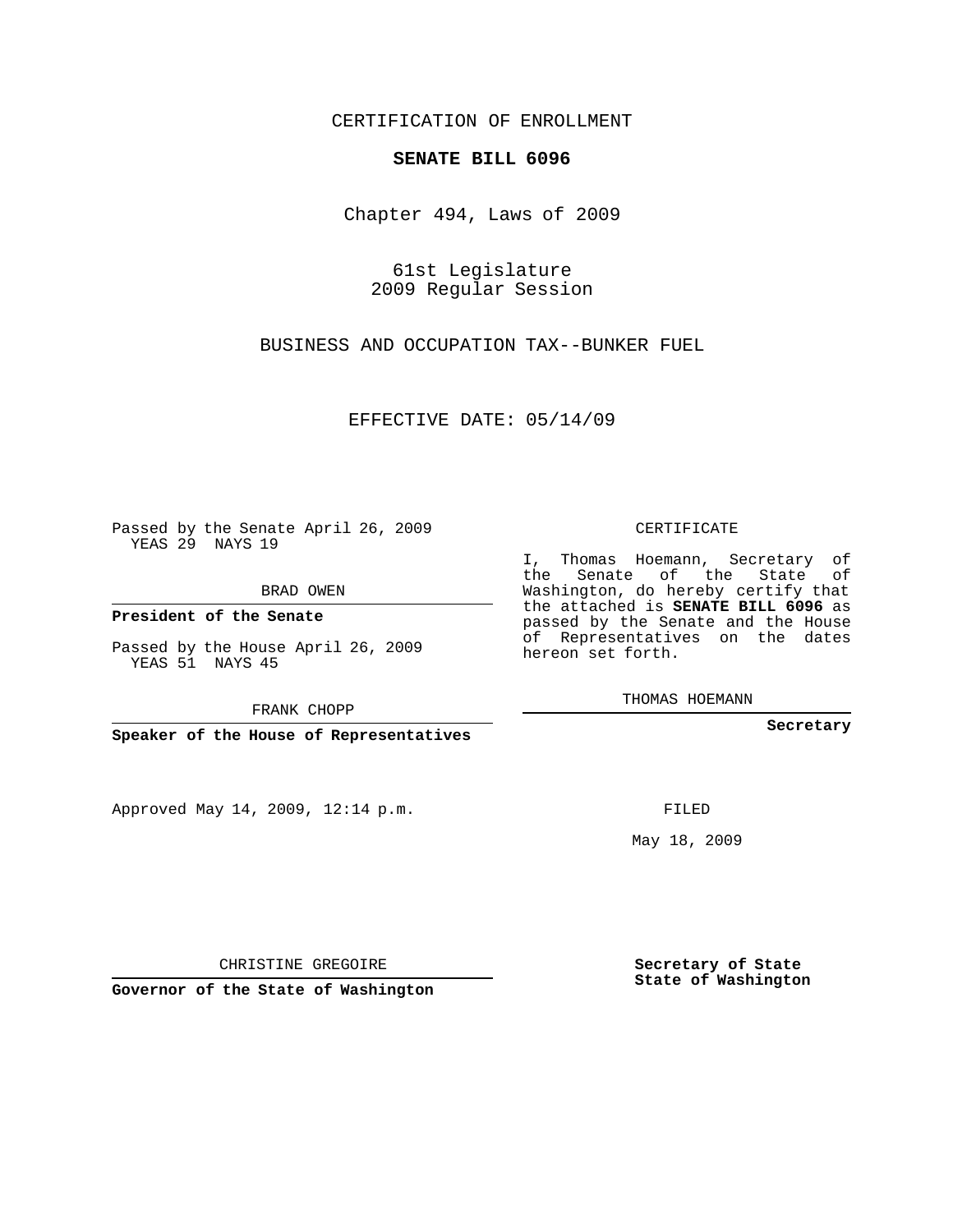## CERTIFICATION OF ENROLLMENT

## **SENATE BILL 6096**

Chapter 494, Laws of 2009

61st Legislature 2009 Regular Session

BUSINESS AND OCCUPATION TAX--BUNKER FUEL

EFFECTIVE DATE: 05/14/09

Passed by the Senate April 26, 2009 YEAS 29 NAYS 19

BRAD OWEN

**President of the Senate**

Passed by the House April 26, 2009 YEAS 51 NAYS 45

FRANK CHOPP

**Speaker of the House of Representatives**

Approved May 14, 2009, 12:14 p.m.

## CERTIFICATE

I, Thomas Hoemann, Secretary of the Senate of the State of Washington, do hereby certify that the attached is **SENATE BILL 6096** as passed by the Senate and the House of Representatives on the dates hereon set forth.

THOMAS HOEMANN

**Secretary**

FILED

May 18, 2009

CHRISTINE GREGOIRE

**Governor of the State of Washington**

**Secretary of State State of Washington**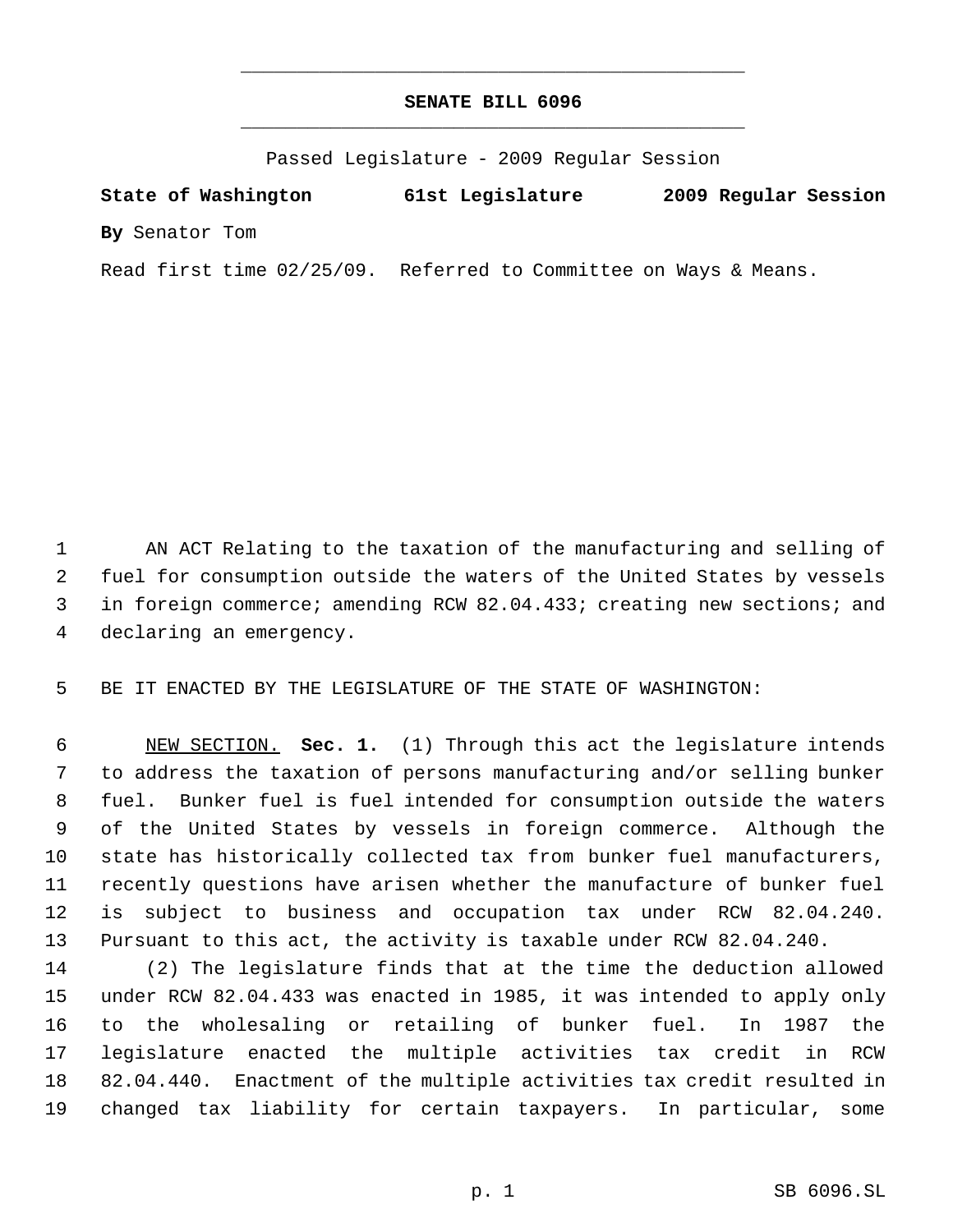## **SENATE BILL 6096** \_\_\_\_\_\_\_\_\_\_\_\_\_\_\_\_\_\_\_\_\_\_\_\_\_\_\_\_\_\_\_\_\_\_\_\_\_\_\_\_\_\_\_\_\_

\_\_\_\_\_\_\_\_\_\_\_\_\_\_\_\_\_\_\_\_\_\_\_\_\_\_\_\_\_\_\_\_\_\_\_\_\_\_\_\_\_\_\_\_\_

Passed Legislature - 2009 Regular Session

**State of Washington 61st Legislature 2009 Regular Session By** Senator Tom

Read first time 02/25/09. Referred to Committee on Ways & Means.

 AN ACT Relating to the taxation of the manufacturing and selling of fuel for consumption outside the waters of the United States by vessels in foreign commerce; amending RCW 82.04.433; creating new sections; and declaring an emergency.

BE IT ENACTED BY THE LEGISLATURE OF THE STATE OF WASHINGTON:

 NEW SECTION. **Sec. 1.** (1) Through this act the legislature intends to address the taxation of persons manufacturing and/or selling bunker fuel. Bunker fuel is fuel intended for consumption outside the waters of the United States by vessels in foreign commerce. Although the state has historically collected tax from bunker fuel manufacturers, recently questions have arisen whether the manufacture of bunker fuel is subject to business and occupation tax under RCW 82.04.240. Pursuant to this act, the activity is taxable under RCW 82.04.240.

 (2) The legislature finds that at the time the deduction allowed under RCW 82.04.433 was enacted in 1985, it was intended to apply only to the wholesaling or retailing of bunker fuel. In 1987 the legislature enacted the multiple activities tax credit in RCW 82.04.440. Enactment of the multiple activities tax credit resulted in changed tax liability for certain taxpayers. In particular, some